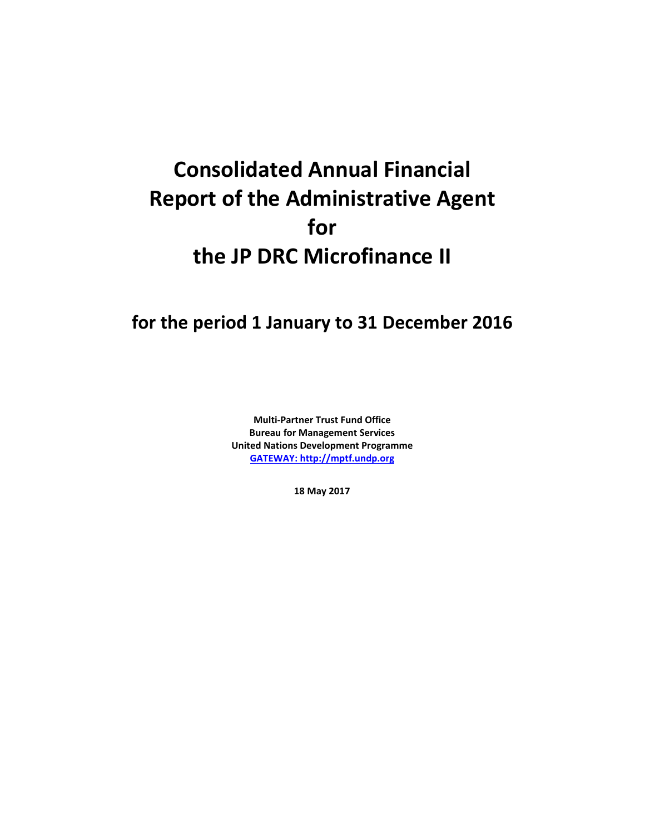# **Consolidated Annual Financial Report of the Administrative Agent for the JP DRC Microfinance II**

## **for the period 1 January to 31 December 2016**

**Multi-Partner Trust Fund Office Bureau for Management Services United Nations Development Programme [GATEWAY: http://mptf.undp.org](http://mptf.undp.org/)**

**18 May 2017**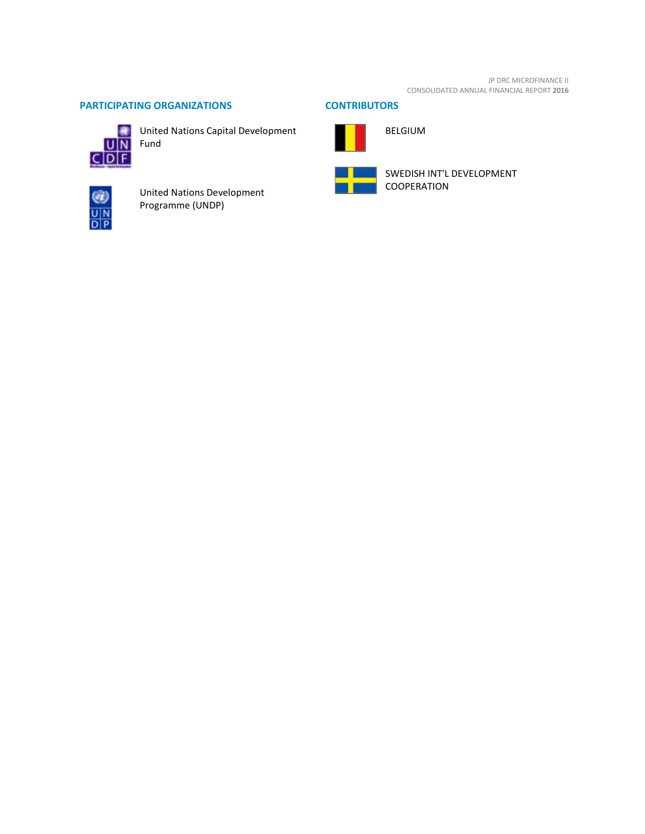JP DRC MICROFINANCE II CONSOLIDATED ANNUAL FINANCIAL REPORT **2016**

### **PARTICIPATING ORGANIZATIONS CONTRIBUTORS**



United Nations Capital Development Fund



United Nations Development Programme (UNDP)



BELGIUM



SWEDISH INT'L DEVELOPMENT COOPERATION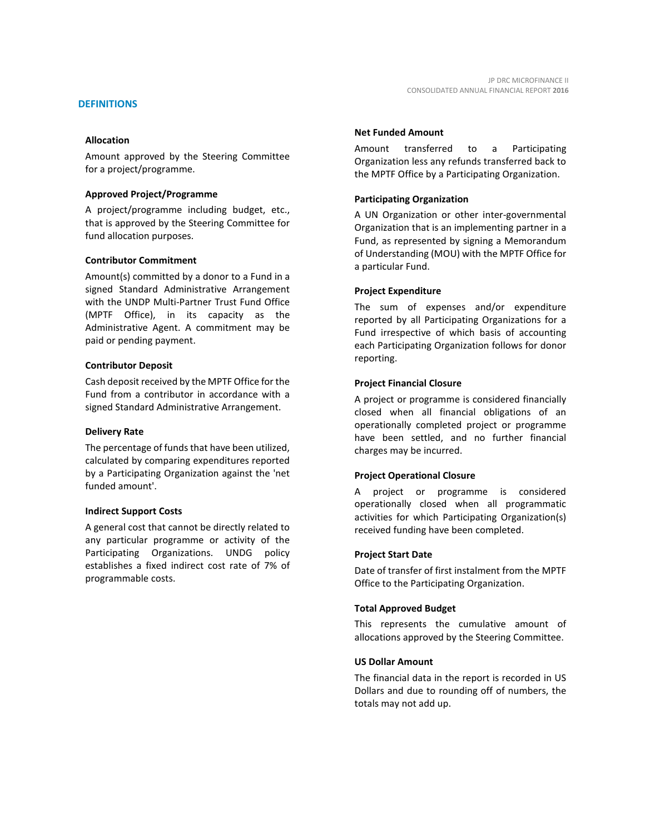Amount approved by the Steering Committee for a project/programme.

#### **Approved Project/Programme**

A project/programme including budget, etc., that is approved by the Steering Committee for fund allocation purposes.

#### **Contributor Commitment**

Amount(s) committed by a donor to a Fund in a signed Standard Administrative Arrangement with the UNDP Multi-Partner Trust Fund Office (MPTF Office), in its capacity as the Administrative Agent. A commitment may be paid or pending payment.

#### **Contributor Deposit**

Cash deposit received by the MPTF Office for the Fund from a contributor in accordance with a signed Standard Administrative Arrangement.

#### **Delivery Rate**

The percentage of funds that have been utilized, calculated by comparing expenditures reported by a Participating Organization against the 'net funded amount'.

#### **Indirect Support Costs**

A general cost that cannot be directly related to any particular programme or activity of the Participating Organizations. UNDG policy establishes a fixed indirect cost rate of 7% of programmable costs.

# **Net Funded Amount**

Amount transferred to a Participating Organization less any refunds transferred back to the MPTF Office by a Participating Organization.

#### **Participating Organization**

A UN Organization or other inter-governmental Organization that is an implementing partner in a Fund, as represented by signing a Memorandum of Understanding (MOU) with the MPTF Office for a particular Fund.

#### **Project Expenditure**

The sum of expenses and/or expenditure reported by all Participating Organizations for a Fund irrespective of which basis of accounting each Participating Organization follows for donor reporting.

#### **Project Financial Closure**

A project or programme is considered financially closed when all financial obligations of an operationally completed project or programme have been settled, and no further financial charges may be incurred.

#### **Project Operational Closure**

A project or programme is considered operationally closed when all programmatic activities for which Participating Organization(s) received funding have been completed.

#### **Project Start Date**

Date of transfer of first instalment from the MPTF Office to the Participating Organization.

#### **Total Approved Budget**

This represents the cumulative amount of allocations approved by the Steering Committee.

#### **US Dollar Amount**

The financial data in the report is recorded in US Dollars and due to rounding off of numbers, the totals may not add up.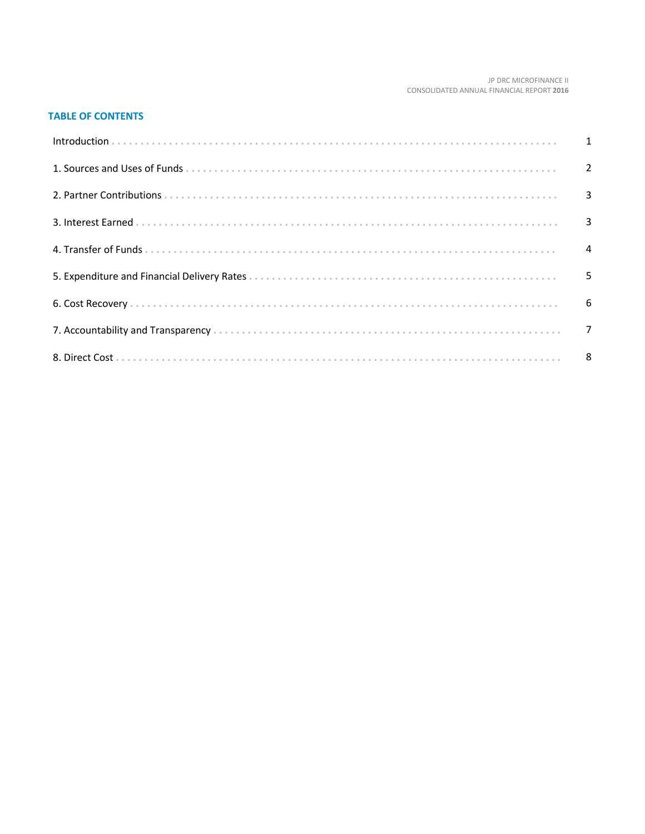#### JP DRC MICROFINANCE II CONSOLIDATED ANNUAL FINANCIAL REPORT 2016

#### **TABLE OF CONTENTS**

| Introduction 1 1 |   |
|------------------|---|
|                  |   |
|                  |   |
|                  |   |
|                  |   |
|                  | 5 |
|                  |   |
|                  |   |
|                  |   |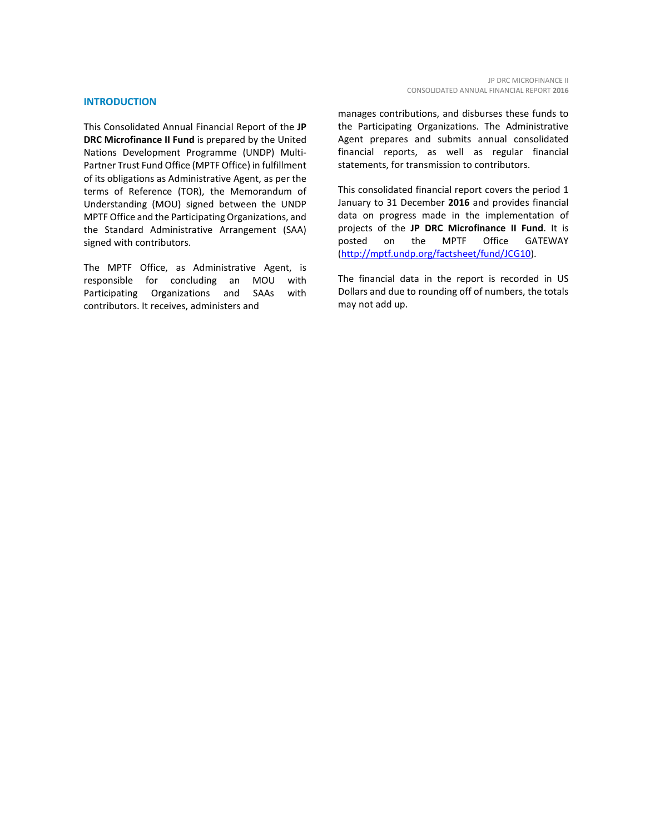#### **INTRODUCTION**

This Consolidated Annual Financial Report of the **JP DRC Microfinance II Fund** is prepared by the United Nations Development Programme (UNDP) Multi-Partner Trust Fund Office (MPTF Office) in fulfillment of its obligations as Administrative Agent, as per the terms of Reference (TOR), the Memorandum of Understanding (MOU) signed between the UNDP MPTF Office and the Participating Organizations, and the Standard Administrative Arrangement (SAA) signed with contributors.

The MPTF Office, as Administrative Agent, is<br>responsible for concluding an MOU with responsible for concluding an MOU with Participating Organizations and SAAs with contributors. It receives, administers and

manages contributions, and disburses these funds to the Participating Organizations. The Administrative Agent prepares and submits annual consolidated financial reports, as well as regular financial statements, for transmission to contributors.

This consolidated financial report covers the period 1 January to 31 December **2016** and provides financial data on progress made in the implementation of projects of the **JP DRC Microfinance II Fund**. It is posted on the MPTF Office GATEWAY [\(http://mptf.undp.org/factsheet/fund/JCG10\)](http://mptf.undp.org/factsheet/fund/JCG10).

The financial data in the report is recorded in US Dollars and due to rounding off of numbers, the totals may not add up.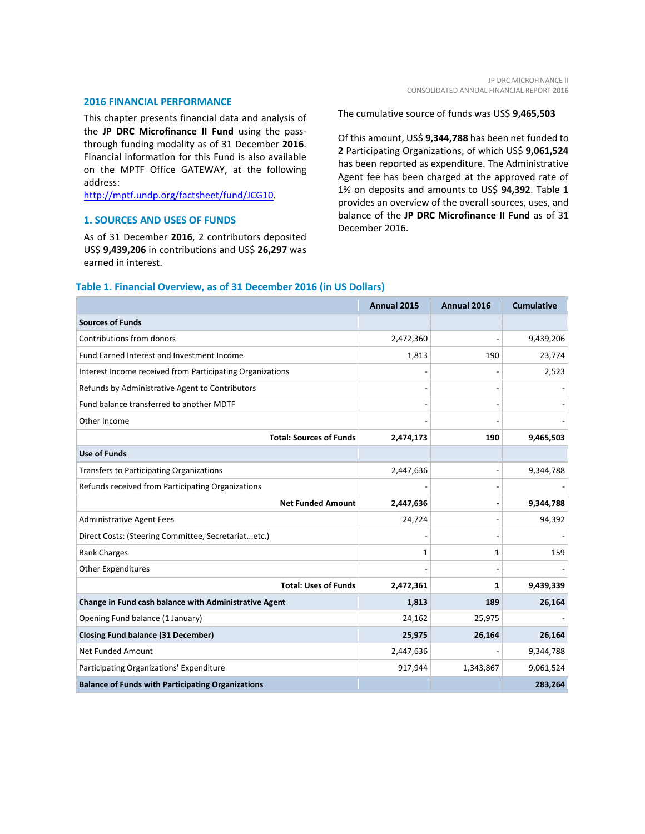#### **2016 FINANCIAL PERFORMANCE**

This chapter presents financial data and analysis of the **JP DRC Microfinance II Fund** using the passthrough funding modality as of 31 December **2016**. Financial information for this Fund is also available on the MPTF Office GATEWAY, at the following address:

[http://mptf.undp.org/factsheet/fund/JCG10.](http://mptf.undp.org/factsheet/fund/JCG10)

#### **1. SOURCES AND USES OF FUNDS**

As of 31 December **2016**, 2 contributors deposited US\$ **9,439,206** in contributions and US\$ **26,297** was earned in interest.

The cumulative source of funds was US\$ **9,465,503**

Of this amount, US\$ **9,344,788** has been net funded to **2** Participating Organizations, of which US\$ **9,061,524** has been reported as expenditure. The Administrative Agent fee has been charged at the approved rate of 1% on deposits and amounts to US\$ **94,392**. Table 1 provides an overview of the overall sources, uses, and balance of the **JP DRC Microfinance II Fund** as of 31 December 2016.

|                                                           | Annual 2015 | Annual 2016 | <b>Cumulative</b> |
|-----------------------------------------------------------|-------------|-------------|-------------------|
| <b>Sources of Funds</b>                                   |             |             |                   |
| Contributions from donors                                 | 2,472,360   |             | 9,439,206         |
| Fund Earned Interest and Investment Income                | 1,813       | 190         | 23,774            |
| Interest Income received from Participating Organizations |             |             | 2,523             |
| Refunds by Administrative Agent to Contributors           |             |             |                   |
| Fund balance transferred to another MDTF                  |             |             |                   |
| Other Income                                              |             |             |                   |
| <b>Total: Sources of Funds</b>                            | 2,474,173   | 190         | 9,465,503         |
| <b>Use of Funds</b>                                       |             |             |                   |
| Transfers to Participating Organizations                  | 2,447,636   |             | 9,344,788         |
| Refunds received from Participating Organizations         |             |             |                   |
| <b>Net Funded Amount</b>                                  | 2,447,636   |             | 9,344,788         |
| <b>Administrative Agent Fees</b>                          | 24,724      |             | 94,392            |
| Direct Costs: (Steering Committee, Secretariatetc.)       |             |             |                   |
| <b>Bank Charges</b>                                       | 1           | 1           | 159               |
| <b>Other Expenditures</b>                                 |             |             |                   |
| <b>Total: Uses of Funds</b>                               | 2,472,361   | 1           | 9,439,339         |
| Change in Fund cash balance with Administrative Agent     | 1,813       | 189         | 26,164            |
| Opening Fund balance (1 January)                          | 24,162      | 25,975      |                   |
| <b>Closing Fund balance (31 December)</b>                 | 25,975      | 26,164      | 26,164            |
| <b>Net Funded Amount</b>                                  | 2,447,636   |             | 9,344,788         |
| Participating Organizations' Expenditure                  | 917,944     | 1,343,867   | 9,061,524         |
| <b>Balance of Funds with Participating Organizations</b>  |             |             | 283,264           |

#### **Table 1. Financial Overview, as of 31 December 2016 (in US Dollars)**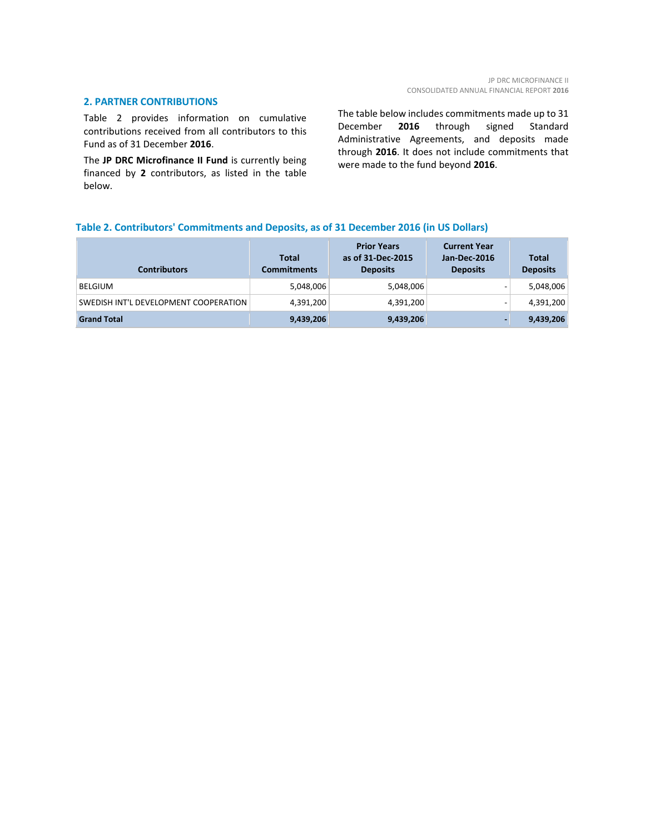#### **2. PARTNER CONTRIBUTIONS**

Table 2 provides information on cumulative contributions received from all contributors to this Fund as of 31 December **2016**.

The **JP DRC Microfinance II Fund** is currently being financed by **2** contributors, as listed in the table below.

The table below includes commitments made up to 31 December **2016** through signed Standard Administrative Agreements, and deposits made through **2016**. It does not include commitments that were made to the fund beyond **2016**.

#### **Table 2. Contributors' Commitments and Deposits, as of 31 December 2016 (in US Dollars)**

| <b>Contributors</b>                   | <b>Total</b><br><b>Commitments</b> | <b>Prior Years</b><br>as of 31-Dec-2015<br><b>Deposits</b> | <b>Current Year</b><br><b>Jan-Dec-2016</b><br><b>Deposits</b> | <b>Total</b><br><b>Deposits</b> |
|---------------------------------------|------------------------------------|------------------------------------------------------------|---------------------------------------------------------------|---------------------------------|
| <b>BELGIUM</b>                        | 5,048,006                          | 5,048,006                                                  |                                                               | 5,048,006                       |
| SWEDISH INT'L DEVELOPMENT COOPERATION | 4,391,200                          | 4,391,200                                                  |                                                               | 4,391,200                       |
| <b>Grand Total</b>                    | 9,439,206                          | 9,439,206                                                  |                                                               | 9,439,206                       |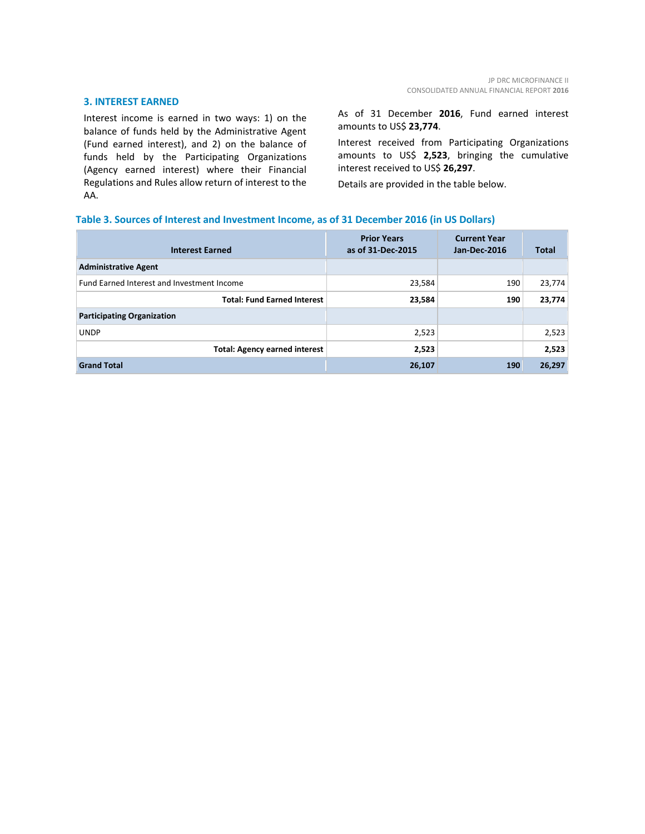#### **3. INTEREST EARNED**

Interest income is earned in two ways: 1) on the balance of funds held by the Administrative Agent (Fund earned interest), and 2) on the balance of funds held by the Participating Organizations (Agency earned interest) where their Financial Regulations and Rules allow return of interest to the AA.

As of 31 December **2016**, Fund earned interest amounts to US\$ **23,774**.

Interest received from Participating Organizations amounts to US\$ **2,523**, bringing the cumulative interest received to US\$ **26,297**.

Details are provided in the table below.

#### **Table 3. Sources of Interest and Investment Income, as of 31 December 2016 (in US Dollars)**

| <b>Interest Earned</b>                     | <b>Prior Years</b><br>as of 31-Dec-2015 | <b>Current Year</b><br>Jan-Dec-2016 | <b>Total</b> |
|--------------------------------------------|-----------------------------------------|-------------------------------------|--------------|
| <b>Administrative Agent</b>                |                                         |                                     |              |
| Fund Earned Interest and Investment Income | 23,584                                  | 190                                 | 23,774       |
| <b>Total: Fund Earned Interest</b>         | 23,584                                  | 190                                 | 23,774       |
| <b>Participating Organization</b>          |                                         |                                     |              |
| <b>UNDP</b>                                | 2,523                                   |                                     | 2,523        |
| <b>Total: Agency earned interest</b>       | 2,523                                   |                                     | 2,523        |
| <b>Grand Total</b>                         | 26,107                                  | 190                                 | 26,297       |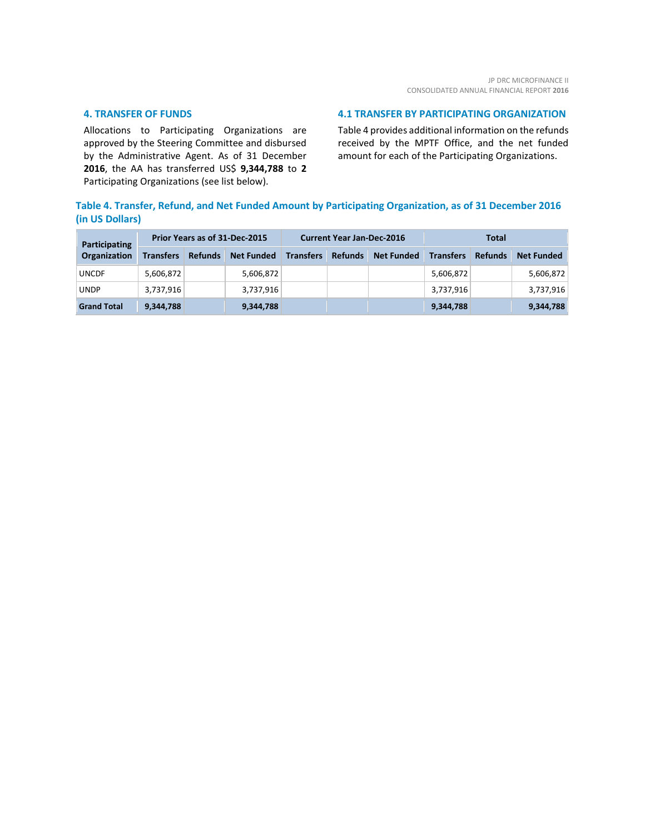#### **4. TRANSFER OF FUNDS**

Allocations to Participating Organizations are approved by the Steering Committee and disbursed by the Administrative Agent. As of 31 December **2016**, the AA has transferred US\$ **9,344,788** to **2** Participating Organizations (see list below).

#### **4.1 TRANSFER BY PARTICIPATING ORGANIZATION**

Table 4 provides additional information on the refunds received by the MPTF Office, and the net funded amount for each of the Participating Organizations.

### **Table 4. Transfer, Refund, and Net Funded Amount by Participating Organization, as of 31 December 2016 (in US Dollars)**

| <b>Participating</b> | Prior Years as of 31-Dec-2015 |                |                   | <b>Current Year Jan-Dec-2016</b> |                |                   | Total            |                |                   |
|----------------------|-------------------------------|----------------|-------------------|----------------------------------|----------------|-------------------|------------------|----------------|-------------------|
| Organization         | <b>Transfers</b>              | <b>Refunds</b> | <b>Net Funded</b> | <b>Transfers</b>                 | <b>Refunds</b> | <b>Net Funded</b> | <b>Transfers</b> | <b>Refunds</b> | <b>Net Funded</b> |
| <b>UNCDF</b>         | 5,606,872                     |                | 5,606,872         |                                  |                |                   | 5,606,872        |                | 5,606,872         |
| <b>UNDP</b>          | 3,737,916                     |                | 3,737,916         |                                  |                |                   | 3,737,916        |                | 3,737,916         |
| <b>Grand Total</b>   | 9,344,788                     |                | 9,344,788         |                                  |                |                   | 9,344,788        |                | 9,344,788         |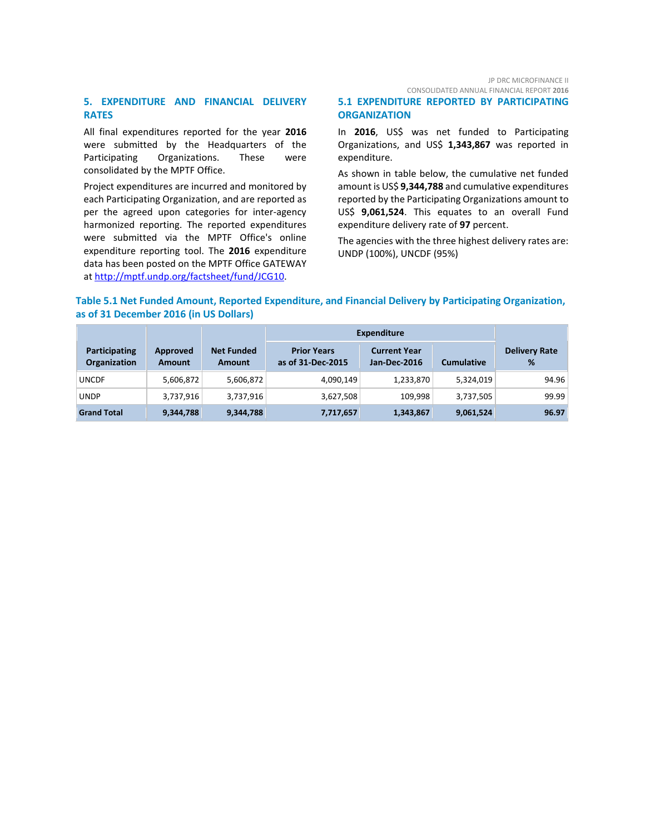#### JP DRC MICROFINANCE II CONSOLIDATED ANNUAL FINANCIAL REPORT **2016**

#### **5. EXPENDITURE AND FINANCIAL DELIVERY RATES**

All final expenditures reported for the year **2016** were submitted by the Headquarters of the Participating Organizations. These were consolidated by the MPTF Office.

Project expenditures are incurred and monitored by each Participating Organization, and are reported as per the agreed upon categories for inter-agency harmonized reporting. The reported expenditures were submitted via the MPTF Office's online expenditure reporting tool. The **2016** expenditure data has been posted on the MPTF Office GATEWAY at [http://mptf.undp.org/factsheet/fund/JCG10.](http://mptf.undp.org/factsheet/fund/JCG10)

#### **5.1 EXPENDITURE REPORTED BY PARTICIPATING ORGANIZATION**

In **2016**, US\$ was net funded to Participating Organizations, and US\$ **1,343,867** was reported in expenditure.

As shown in table below, the cumulative net funded amount is US\$ **9,344,788** and cumulative expenditures reported by the Participating Organizations amount to US\$ **9,061,524**. This equates to an overall Fund expenditure delivery rate of **97** percent.

The agencies with the three highest delivery rates are: UNDP (100%), UNCDF (95%)

#### **Table 5.1 Net Funded Amount, Reported Expenditure, and Financial Delivery by Participating Organization, as of 31 December 2016 (in US Dollars)**

|                                             |                           |                             | <b>Expenditure</b>                      |                                     |                   |                           |
|---------------------------------------------|---------------------------|-----------------------------|-----------------------------------------|-------------------------------------|-------------------|---------------------------|
| <b>Participating</b><br><b>Organization</b> | Approved<br><b>Amount</b> | <b>Net Funded</b><br>Amount | <b>Prior Years</b><br>as of 31-Dec-2015 | <b>Current Year</b><br>Jan-Dec-2016 | <b>Cumulative</b> | <b>Delivery Rate</b><br>% |
| <b>UNCDF</b>                                | 5,606,872                 | 5,606,872                   | 4,090,149                               | 1,233,870                           | 5,324,019         | 94.96                     |
| <b>UNDP</b>                                 | 3,737,916                 | 3,737,916                   | 3,627,508                               | 109.998                             | 3,737,505         | 99.99                     |
| <b>Grand Total</b>                          | 9,344,788                 | 9,344,788                   | 7,717,657                               | 1,343,867                           | 9,061,524         | 96.97                     |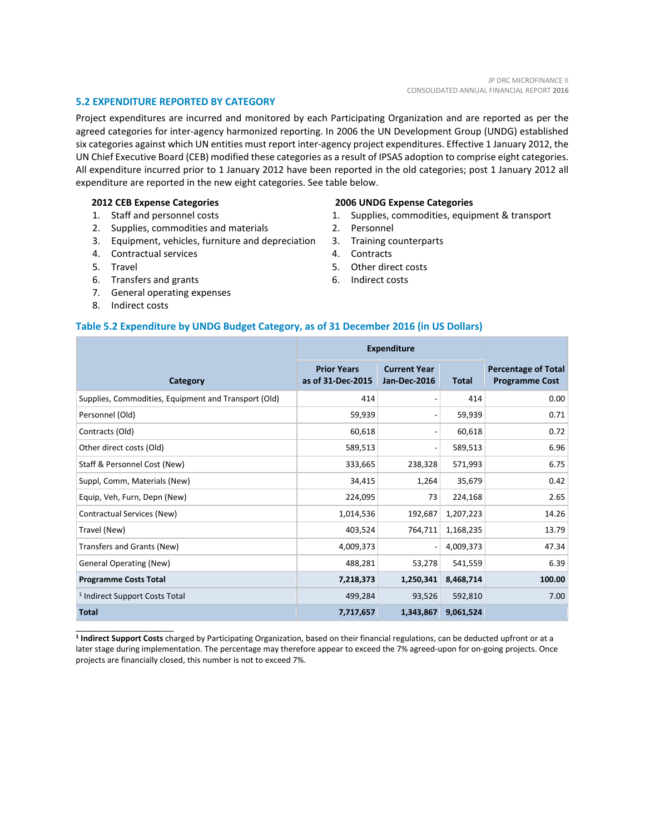#### **5.2 EXPENDITURE REPORTED BY CATEGORY**

Project expenditures are incurred and monitored by each Participating Organization and are reported as per the agreed categories for inter-agency harmonized reporting. In 2006 the UN Development Group (UNDG) established six categories against which UN entities must report inter-agency project expenditures. Effective 1 January 2012, the UN Chief Executive Board (CEB) modified these categories as a result of IPSAS adoption to comprise eight categories. All expenditure incurred prior to 1 January 2012 have been reported in the old categories; post 1 January 2012 all expenditure are reported in the new eight categories. See table below.

#### **2012 CEB Expense Categories**

- 1. Staff and personnel costs
- 2. Supplies, commodities and materials
- 3. Equipment, vehicles, furniture and depreciation
- 4. Contractual services
- 5. Travel
- 6. Transfers and grants
- 7. General operating expenses
- 8. Indirect costs

\_\_\_\_\_\_\_\_\_\_\_\_\_\_\_\_\_\_\_\_\_\_

#### **2006 UNDG Expense Categories**

- 1. Supplies, commodities, equipment & transport
- 2. Personnel
- 3. Training counterparts
- 4. Contracts
- 5. Other direct costs
- 6. Indirect costs

#### **Table 5.2 Expenditure by UNDG Budget Category, as of 31 December 2016 (in US Dollars)**

|                                                      | <b>Expenditure</b>                      |                                     |              |                                                     |
|------------------------------------------------------|-----------------------------------------|-------------------------------------|--------------|-----------------------------------------------------|
| Category                                             | <b>Prior Years</b><br>as of 31-Dec-2015 | <b>Current Year</b><br>Jan-Dec-2016 | <b>Total</b> | <b>Percentage of Total</b><br><b>Programme Cost</b> |
| Supplies, Commodities, Equipment and Transport (Old) | 414                                     |                                     | 414          | 0.00                                                |
| Personnel (Old)                                      | 59,939                                  | $\qquad \qquad \blacksquare$        | 59,939       | 0.71                                                |
| Contracts (Old)                                      | 60,618                                  | $\overline{a}$                      | 60,618       | 0.72                                                |
| Other direct costs (Old)                             | 589,513                                 | $\overline{a}$                      | 589,513      | 6.96                                                |
| Staff & Personnel Cost (New)                         | 333,665                                 | 238,328                             | 571,993      | 6.75                                                |
| Suppl, Comm, Materials (New)                         | 34,415                                  | 1,264                               | 35,679       | 0.42                                                |
| Equip, Veh, Furn, Depn (New)                         | 224,095                                 | 73                                  | 224,168      | 2.65                                                |
| Contractual Services (New)                           | 1,014,536                               | 192,687                             | 1,207,223    | 14.26                                               |
| Travel (New)                                         | 403,524                                 | 764,711                             | 1,168,235    | 13.79                                               |
| Transfers and Grants (New)                           | 4,009,373                               | $\overline{a}$                      | 4,009,373    | 47.34                                               |
| <b>General Operating (New)</b>                       | 488,281                                 | 53,278                              | 541,559      | 6.39                                                |
| <b>Programme Costs Total</b>                         | 7,218,373                               | 1,250,341                           | 8,468,714    | 100.00                                              |
| <sup>1</sup> Indirect Support Costs Total            | 499,284                                 | 93,526                              | 592,810      | 7.00                                                |
| <b>Total</b>                                         | 7,717,657                               | 1,343,867                           | 9,061,524    |                                                     |

**<sup>1</sup> Indirect Support Costs** charged by Participating Organization, based on their financial regulations, can be deducted upfront or at a later stage during implementation. The percentage may therefore appear to exceed the 7% agreed-upon for on-going projects. Once projects are financially closed, this number is not to exceed 7%.